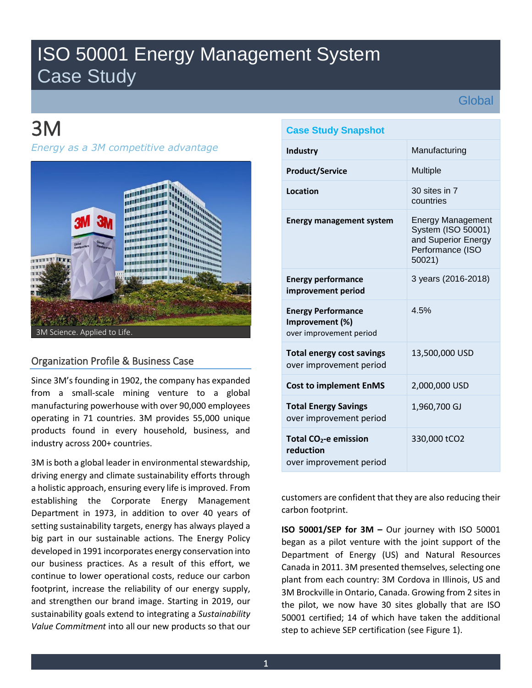## ISO 50001 Energy Management System Case Study

**Global** 

# 3M

*Energy as a 3M competitive advantage* 



## Organization Profile & Business Case

Since 3M's founding in 1902, the company has expanded from a small-scale mining venture to a global manufacturing powerhouse with over 90,000 employees operating in 71 countries. 3M provides 55,000 unique products found in every household, business, and industry across 200+ countries.

3M is both a global leader in environmental stewardship, driving energy and climate sustainability efforts through a holistic approach, ensuring every life is improved. From establishing the Corporate Energy Management Department in 1973, in addition to over 40 years of setting sustainability targets, energy has always played a big part in our sustainable actions. The Energy Policy developed in 1991 incorporates energy conservation into our business practices. As a result of this effort, we continue to lower operational costs, reduce our carbon footprint, increase the reliability of our energy supply, and strengthen our brand image. Starting in 2019, our sustainability goals extend to integrating a *Sustainability Value Commitment* into all our new products so that our

## **Case Study Snapshot**

| <b>Industry</b>                                                           | Manufacturing                                                                                       |
|---------------------------------------------------------------------------|-----------------------------------------------------------------------------------------------------|
| <b>Product/Service</b>                                                    | <b>Multiple</b>                                                                                     |
| Location                                                                  | 30 sites in 7<br>countries                                                                          |
| <b>Energy management system</b>                                           | <b>Energy Management</b><br>System (ISO 50001)<br>and Superior Energy<br>Performance (ISO<br>50021) |
| <b>Energy performance</b><br>improvement period                           | 3 years (2016-2018)                                                                                 |
| <b>Energy Performance</b><br>Improvement (%)<br>over improvement period   | 4.5%                                                                                                |
| <b>Total energy cost savings</b><br>over improvement period               | 13,500,000 USD                                                                                      |
| <b>Cost to implement EnMS</b>                                             | 2,000,000 USD                                                                                       |
| <b>Total Energy Savings</b><br>over improvement period                    | 1,960,700 GJ                                                                                        |
| Total CO <sub>2</sub> -e emission<br>reduction<br>over improvement period | 330,000 tCO2                                                                                        |

customers are confident that they are also reducing their carbon footprint.

**ISO 50001/SEP for 3M –** Our journey with ISO 50001 began as a pilot venture with the joint support of the Department of Energy (US) and Natural Resources Canada in 2011. 3M presented themselves, selecting one plant from each country: 3M Cordova in Illinois, US and 3M Brockville in Ontario, Canada. Growing from 2 sites in the pilot, we now have 30 sites globally that are ISO 50001 certified; 14 of which have taken the additional step to achieve SEP certification (see Figure 1).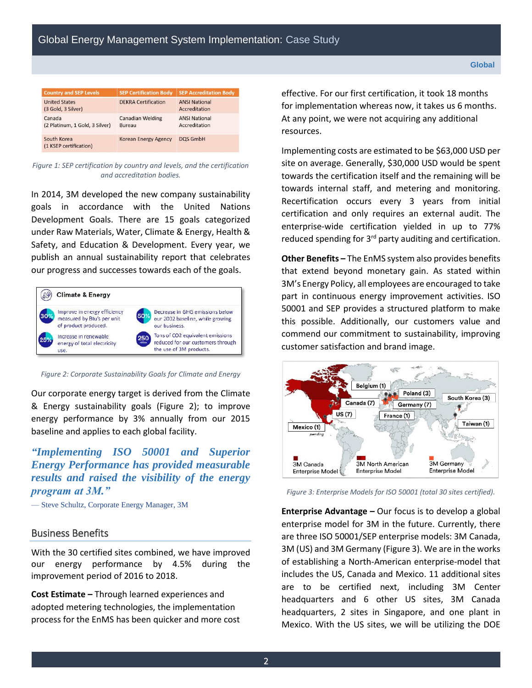| <b>Country and SEP Levels</b>              | <b>SEP Certification Body</b>     | <b>SEP Accreditation Body</b>         |
|--------------------------------------------|-----------------------------------|---------------------------------------|
| <b>United States</b><br>(3 Gold, 3 Silver) | <b>DEKRA Certification</b>        | <b>ANSI National</b><br>Accreditation |
| Canada<br>(2 Platinum, 1 Gold, 3 Silver)   | <b>Canadian Welding</b><br>Bureau | <b>ANSI National</b><br>Accreditation |
| South Korea<br>(1 KSEP certification)      | <b>Korean Energy Agency</b>       | <b>DQS GmbH</b>                       |

*Figure 1: SEP certification by country and levels, and the certification and accreditation bodies.*

In 2014, 3M developed the new company sustainability goals in accordance with the United Nations Development Goals. There are 15 goals categorized under Raw Materials, Water, Climate & Energy, Health & Safety, and Education & Development. Every year, we publish an annual sustainability report that celebrates our progress and successes towards each of the goals.



*Figure 2: Corporate Sustainability Goals for Climate and Energy*

Our corporate energy target is derived from the Climate & Energy sustainability goals (Figure 2); to improve energy performance by 3% annually from our 2015 baseline and applies to each global facility.

### *"Implementing ISO 50001 and Superior Energy Performance has provided measurable results and raised the visibility of the energy program at 3M."*

— Steve Schultz, Corporate Energy Manager, 3M

#### Business Benefits

With the 30 certified sites combined, we have improved our energy performance by 4.5% during the improvement period of 2016 to 2018.

**Cost Estimate –** Through learned experiences and adopted metering technologies, the implementation process for the EnMS has been quicker and more cost

effective. For our first certification, it took 18 months for implementation whereas now, it takes us 6 months. At any point, we were not acquiring any additional resources.

Implementing costs are estimated to be \$63,000 USD per site on average. Generally, \$30,000 USD would be spent towards the certification itself and the remaining will be towards internal staff, and metering and monitoring. Recertification occurs every 3 years from initial certification and only requires an external audit. The enterprise-wide certification yielded in up to 77% reduced spending for  $3<sup>rd</sup>$  party auditing and certification.

**Other Benefits –** The EnMS system also provides benefits that extend beyond monetary gain. As stated within 3M's Energy Policy, all employees are encouraged to take part in continuous energy improvement activities. ISO 50001 and SEP provides a structured platform to make this possible. Additionally, our customers value and commend our commitment to sustainability, improving customer satisfaction and brand image.



*Figure 3: Enterprise Models for ISO 50001 (total 30 sites certified).*

**Enterprise Advantage –** Our focus is to develop a global enterprise model for 3M in the future. Currently, there are three ISO 50001/SEP enterprise models: 3M Canada, 3M (US) and 3M Germany (Figure 3). We are in the works of establishing a North-American enterprise-model that includes the US, Canada and Mexico. 11 additional sites are to be certified next, including 3M Center headquarters and 6 other US sites, 3M Canada headquarters, 2 sites in Singapore, and one plant in Mexico. With the US sites, we will be utilizing the DOE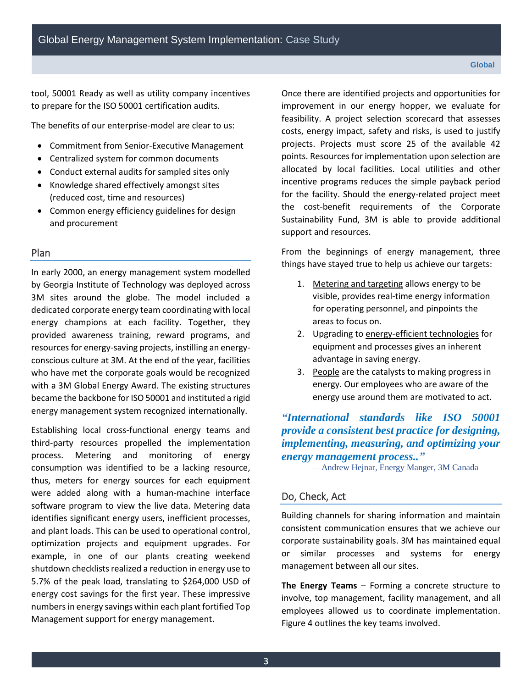tool, 50001 Ready as well as utility company incentives to prepare for the ISO 50001 certification audits.

The benefits of our enterprise-model are clear to us:

- Commitment from Senior-Executive Management
- Centralized system for common documents
- Conduct external audits for sampled sites only
- Knowledge shared effectively amongst sites (reduced cost, time and resources)
- Common energy efficiency guidelines for design and procurement

#### Plan

In early 2000, an energy management system modelled by Georgia Institute of Technology was deployed across 3M sites around the globe. The model included a dedicated corporate energy team coordinating with local energy champions at each facility. Together, they provided awareness training, reward programs, and resources for energy-saving projects, instilling an energyconscious culture at 3M. At the end of the year, facilities who have met the corporate goals would be recognized with a 3M Global Energy Award. The existing structures became the backbone for ISO 50001 and instituted a rigid energy management system recognized internationally.

Establishing local cross-functional energy teams and third-party resources propelled the implementation process. Metering and monitoring of energy consumption was identified to be a lacking resource, thus, meters for energy sources for each equipment were added along with a human-machine interface software program to view the live data. Metering data identifies significant energy users, inefficient processes, and plant loads. This can be used to operational control, optimization projects and equipment upgrades. For example, in one of our plants creating weekend shutdown checklists realized a reduction in energy use to 5.7% of the peak load, translating to \$264,000 USD of energy cost savings for the first year. These impressive numbers in energy savings within each plant fortified Top Management support for energy management.

Once there are identified projects and opportunities for improvement in our energy hopper, we evaluate for feasibility. A project selection scorecard that assesses costs, energy impact, safety and risks, is used to justify projects. Projects must score 25 of the available 42 points. Resources for implementation upon selection are allocated by local facilities. Local utilities and other incentive programs reduces the simple payback period for the facility. Should the energy-related project meet the cost-benefit requirements of the Corporate Sustainability Fund, 3M is able to provide additional support and resources.

From the beginnings of energy management, three things have stayed true to help us achieve our targets:

- 1. Metering and targeting allows energy to be visible, provides real-time energy information for operating personnel, and pinpoints the areas to focus on.
- 2. Upgrading to energy-efficient technologies for equipment and processes gives an inherent advantage in saving energy.
- 3. People are the catalysts to making progress in energy. Our employees who are aware of the energy use around them are motivated to act.

*"[International standards like ISO 50001](https://www.energy.gov/eere/amo/iso-50001-frequently-asked-questions#What_is_the_value_of_ISO_50001?utm_source=ScienceCentre&utm_medium=Article&utm_campaign=_EN_10_2018_ISSO) provide a consistent best practice for designing, implementing, measuring, and optimizing your energy management process.."*

—Andrew Hejnar, Energy Manger, 3M Canada

### Do, Check, Act

Building channels for sharing information and maintain consistent communication ensures that we achieve our corporate sustainability goals. 3M has maintained equal or similar processes and systems for energy management between all our sites.

**The Energy Teams** – Forming a concrete structure to involve, top management, facility management, and all employees allowed us to coordinate implementation. Figure 4 outlines the key teams involved.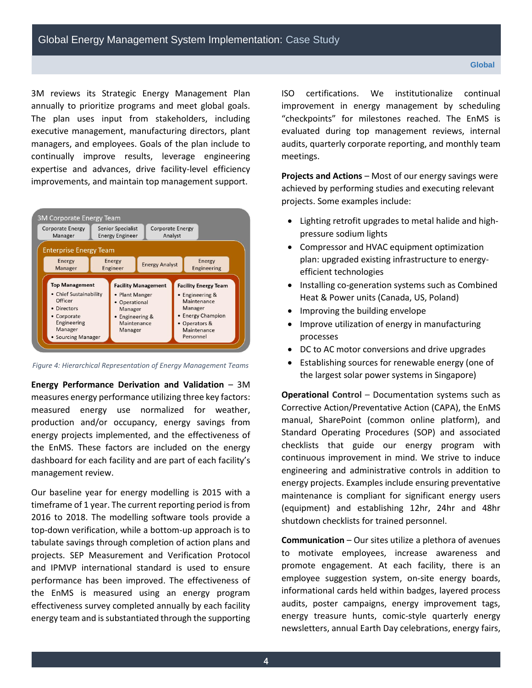3M reviews its Strategic Energy Management Plan annually to prioritize programs and meet global goals. The plan uses input from stakeholders, including executive management, manufacturing directors, plant managers, and employees. Goals of the plan include to continually improve results, leverage engineering expertise and advances, drive facility-level efficiency improvements, and maintain top management support.



*Figure 4: Hierarchical Representation of Energy Management Teams*

**Energy Performance Derivation and Validation** – 3M measures energy performance utilizing three key factors: measured energy use normalized for weather, production and/or occupancy, energy savings from energy projects implemented, and the effectiveness of the EnMS. These factors are included on the energy dashboard for each facility and are part of each facility's management review.

Our baseline year for energy modelling is 2015 with a timeframe of 1 year. The current reporting period is from 2016 to 2018. The modelling software tools provide a top-down verification, while a bottom-up approach is to tabulate savings through completion of action plans and projects. SEP Measurement and Verification Protocol and IPMVP international standard is used to ensure performance has been improved. The effectiveness of the EnMS is measured using an energy program effectiveness survey completed annually by each facility energy team and is substantiated through the supporting ISO certifications. We institutionalize continual improvement in energy management by scheduling "checkpoints" for milestones reached. The EnMS is evaluated during top management reviews, internal audits, quarterly corporate reporting, and monthly team meetings.

**Projects and Actions** – Most of our energy savings were achieved by performing studies and executing relevant projects. Some examples include:

- Lighting retrofit upgrades to metal halide and highpressure sodium lights
- Compressor and HVAC equipment optimization plan: upgraded existing infrastructure to energyefficient technologies
- Installing co-generation systems such as Combined Heat & Power units (Canada, US, Poland)
- Improving the building envelope
- Improve utilization of energy in manufacturing processes
- DC to AC motor conversions and drive upgrades
- Establishing sources for renewable energy (one of the largest solar power systems in Singapore)

**Operational Control** – Documentation systems such as Corrective Action/Preventative Action (CAPA), the EnMS manual, SharePoint (common online platform), and Standard Operating Procedures (SOP) and associated checklists that guide our energy program with continuous improvement in mind. We strive to induce engineering and administrative controls in addition to energy projects. Examples include ensuring preventative maintenance is compliant for significant energy users (equipment) and establishing 12hr, 24hr and 48hr shutdown checklists for trained personnel.

**Communication** – Our sites utilize a plethora of avenues to motivate employees, increase awareness and promote engagement. At each facility, there is an employee suggestion system, on-site energy boards, informational cards held within badges, layered process audits, poster campaigns, energy improvement tags, energy treasure hunts, comic-style quarterly energy newsletters, annual Earth Day celebrations, energy fairs,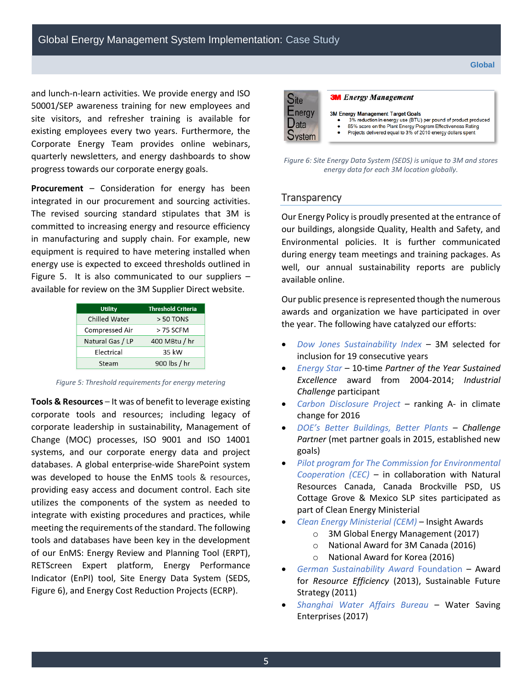and lunch-n-learn activities. We provide energy and ISO 50001/SEP awareness training for new employees and site visitors, and refresher training is available for existing employees every two years. Furthermore, the Corporate Energy Team provides online webinars, quarterly newsletters, and energy dashboards to show progress towards our corporate energy goals.

**Procurement** – Consideration for energy has been integrated in our procurement and sourcing activities. The revised sourcing standard stipulates that 3M is committed to increasing energy and resource efficiency in manufacturing and supply chain. For example, new equipment is required to have metering installed when energy use is expected to exceed thresholds outlined in Figure 5. It is also communicated to our suppliers – available for review on the 3M Supplier Direct website.

| <b>Utility</b>   | <b>Threshold Criteria</b> |
|------------------|---------------------------|
| Chilled Water    | $>$ 50 TONS               |
| Compressed Air   | $>$ 75 SCFM               |
| Natural Gas / LP | 400 MBtu / hr             |
| Electrical       | 35 kW                     |
| Steam            | 900 lbs / hr              |

*Figure 5: Threshold requirements for energy metering* 

**Tools & Resources** – It was of benefit to leverage existing corporate tools and resources; including legacy of corporate leadership in sustainability, Management of Change (MOC) processes, ISO 9001 and ISO 14001 systems, and our corporate energy data and project databases. A global enterprise-wide SharePoint system was developed to house the EnMS tools & resources, providing easy access and document control. Each site utilizes the components of the system as needed to integrate with existing procedures and practices, while meeting the requirements of the standard. The following tools and databases have been key in the development of our EnMS: Energy Review and Planning Tool (ERPT), RETScreen Expert platform, Energy Performance Indicator (EnPI) tool, Site Energy Data System (SEDS, Figure 6), and Energy Cost Reduction Projects (ECRP).



#### **3M** Energy Management

- 3M Energy Management Target Goals
	- 3% reduction in energy use (BTU) per pound of product produced 85% score on the Plant Energy Program Effectiveness Rating
	- Projects delivered equal to 3% of 2010 energy dollars spent

*Figure 6: Site Energy Data System (SEDS) is unique to 3M and stores energy data for each 3M location globally.* 

#### **Transparency**

Our Energy Policy is proudly presented at the entrance of our buildings, alongside Quality, Health and Safety, and Environmental policies. It is further communicated during energy team meetings and training packages. As well, our annual sustainability reports are publicly available online.

Our public presence is represented though the numerous awards and organization we have participated in over the year. The following have catalyzed our efforts:

- *Dow Jones Sustainability Index* 3M selected for inclusion for 19 consecutive years
- *Energy Star –* 10-time *Partner of the Year Sustained Excellence* award from 2004-2014; *Industrial Challenge* participant
- *Carbon Disclosure Project –* ranking A- in climate change for 2016
- *DOE's Better Buildings, Better Plants – Challenge Partner* (met partner goals in 2015, established new goals)
- *Pilot program for The Commission for Environmental Cooperation (CEC) –* in collaboration with Natural Resources Canada, Canada Brockville PSD, US Cottage Grove & Mexico SLP sites participated as part of Clean Energy Ministerial
- *Clean Energy Ministerial (CEM)* Insight Awards
	- o 3M Global Energy Management (2017)
	- o National Award for 3M Canada (2016)
	- o National Award for Korea (2016)
- *German Sustainability Award* Foundation Award for *Resource Efficiency* (2013), Sustainable Future Strategy (2011)
- *Shanghai Water Affairs Bureau* Water Saving Enterprises (2017)